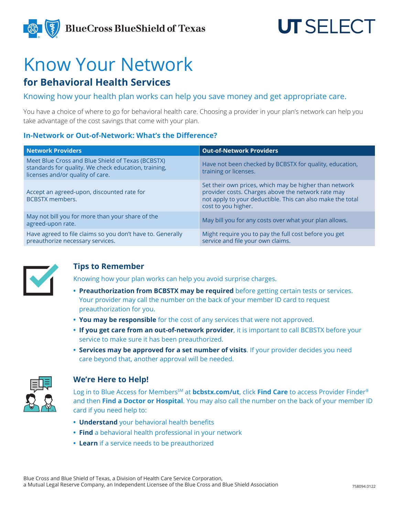

# Know Your Network

## **for Behavioral Health Services**

Knowing how your health plan works can help you save money and get appropriate care.

You have a choice of where to go for behavioral health care. Choosing a provider in your plan's network can help you take advantage of the cost savings that come with your plan.

#### **In-Network or Out-of-Network: What's the Difference?**

| <b>Network Providers</b>                                                                                                                      | <b>Out-of-Network Providers</b>                                                                                                                                                                   |
|-----------------------------------------------------------------------------------------------------------------------------------------------|---------------------------------------------------------------------------------------------------------------------------------------------------------------------------------------------------|
| Meet Blue Cross and Blue Shield of Texas (BCBSTX)<br>standards for quality. We check education, training,<br>licenses and/or quality of care. | Have not been checked by BCBSTX for quality, education,<br>training or licenses.                                                                                                                  |
| Accept an agreed-upon, discounted rate for<br><b>BCBSTX</b> members.                                                                          | Set their own prices, which may be higher than network<br>provider costs. Charges above the network rate may<br>not apply to your deductible. This can also make the total<br>cost to you higher. |
| May not bill you for more than your share of the<br>agreed-upon rate.                                                                         | May bill you for any costs over what your plan allows.                                                                                                                                            |
| Have agreed to file claims so you don't have to. Generally<br>preauthorize necessary services.                                                | Might require you to pay the full cost before you get<br>service and file your own claims.                                                                                                        |



#### **Tips to Remember**

Knowing how your plan works can help you avoid surprise charges.

- **• Preauthorization from BCBSTX may be required** before getting certain tests or services. Your provider may call the number on the back of your member ID card to request preauthorization for you.
- **• You may be responsible** for the cost of any services that were not approved.
- **• If you get care from an out-of-network provider**, it is important to call BCBSTX before your service to make sure it has been preauthorized.
- **• Services may be approved for a set number of visits**. If your provider decides you need care beyond that, another approval will be needed.



#### **We're Here to Help!**

Log in to Blue Access for Members<sup>SM</sup> at **bcbstx.com/ut**, click Find Care to access Provider Finder<sup>®</sup> and then **Find a Doctor or Hospital**. You may also call the number on the back of your member ID card if you need help to:

- **• Understand** your behavioral health benefits
- **• Find** a behavioral health professional in your network
- **• Learn** if a service needs to be preauthorized